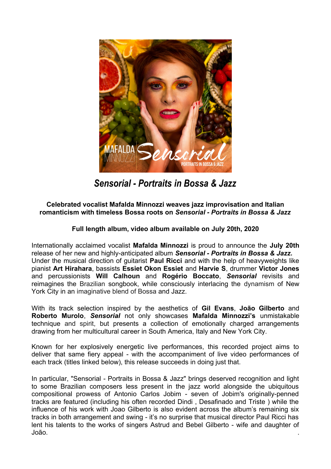

*Sensorial - Portraits in Bossa & Jazz*

## **Celebrated vocalist Mafalda Minnozzi weaves jazz improvisation and Italian romanticism with timeless Bossa roots on** *Sensorial - Portraits in Bossa & Jazz*

## **Full length album, video album available on July 20th, 2020**

Internationally acclaimed vocalist **Mafalda Minnozzi** is proud to announce the **July 20th** release of her new and highly-anticipated album *Sensorial - Portraits in Bossa & Jazz.* Under the musical direction of guitarist **Paul Ricci** and with the help of heavyweights like pianist **Art Hirahara**, bassists **Essiet Okon Essiet** and **Harvie S**, drummer **Victor Jones** and percussionists **Will Calhoun** and **Rogério Boccato**, *Sensorial* revisits and reimagines the Brazilian songbook, while consciously interlacing the dynamism of New York City in an imaginative blend of Bossa and Jazz.

With its track selection inspired by the aesthetics of **Gil Evans**, **João Gilberto** and **Roberto Murolo**, *Sensorial* not only showcases **Mafalda Minnozzi's** unmistakable technique and spirit, but presents a collection of emotionally charged arrangements drawing from her multicultural career in South America, Italy and New York City.

Known for her explosively energetic live performances, this recorded project aims to deliver that same fiery appeal - with the accompaniment of live video performances of each track (titles linked below), this release succeeds in doing just that.

In particular, "Sensorial - Portraits in Bossa & Jazz" brings deserved recognition and light to some Brazilian composers less present in the jazz world alongside the ubiquitous compositional prowess of Antonio Carlos Jobim - seven of Jobim's originally-penned tracks are featured (including his often recorded Dindi , Desafinado and Triste ) while the influence of his work with Joao Gilberto is also evident across the album's remaining six tracks in both arrangement and swing - it's no surprise that musical director Paul Ricci has lent his talents to the works of singers Astrud and Bebel Gilberto - wife and daughter of João. .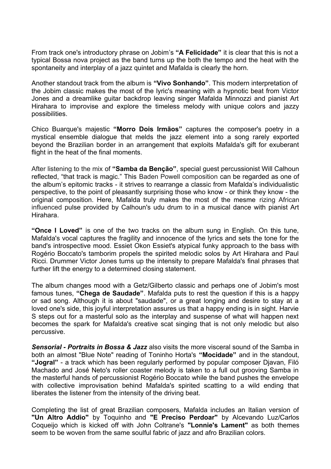From track one's introductory phrase on Jobim's **["A Felicidade"](https://youtu.be/aU3ny3V1ha8)** it is clear that this is not a typical Bossa nova project as the band turns up the both the tempo and the heat with the spontaneity and interplay of a jazz quintet and Mafalda is clearly the horn.

Another standout track from the album is **["Vivo Sonhando"](https://youtu.be/xNd6vLtZPCI)**. This modern interpretation of the Jobim classic makes the most of the lyric's meaning with a hypnotic beat from Victor Jones and a dreamlike guitar backdrop leaving singer Mafalda Minnozzi and pianist Art Hirahara to improvise and explore the timeless melody with unique colors and jazzy possibilities.

Chico Buarque's majestic **["Morro Dois Irmãos"](https://youtu.be/_R4cyjOmuLk)** captures the composer's poetry in a mystical ensemble dialogue that melds the jazz element into a song rarely exported beyond the Brazilian border in an arrangement that exploits Mafalda's gift for exuberant flight in the heat of the final moments.

After listening to the mix of **["Samba da Benção"](https://youtu.be/LZIBl9RjBNY)**, special guest percussionist Will Calhoun reflected, "that track is magic." This Baden Powell composition can be regarded as one of the album's epitomic tracks - it strives to rearrange a classic from Mafalda's individualistic perspective, to the point of pleasantly surprising those who know - or think they know - the original composition. Here, Mafalda truly makes the most of the mesme rizing African influenced pulse provided by Calhoun's udu drum to in a musical dance with pianist Art Hirahara.

**["Once I Loved"](https://youtu.be/FMS1zFmn6VM)** is one of the two tracks on the album sung in English. On this tune, Mafalda's vocal captures the fragility and innocence of the lyrics and sets the tone for the band's introspective mood. Essiet Okon Essiet's atypical funky approach to the bass with Rogério Boccato's tamborim propels the spirited melodic solos by Art Hirahara and Paul Ricci. Drummer Victor Jones turns up the intensity to prepare Mafalda's final phrases that further lift the energy to a determined closing statement.

The album changes mood with a Getz/Gilberto classic and perhaps one of Jobim's most famous tunes, **["Chega de Saudade"](https://youtu.be/k0B1zuDeKcI)**. Mafalda puts to rest the question if this is a happy or sad song. Although it is about "saudade", or a great longing and desire to stay at a loved one's side, this joyful interpretation assures us that a happy ending is in sight. Harvie S steps out for a masterful solo as the interplay and suspense of what will happen next becomes the spark for Mafalda's creative scat singing that is not only melodic but also percussive.

*Sensorial - Portraits in Bossa & Jazz* also visits the more visceral sound of the Samba in both an almost "Blue Note" reading of Toninho Horta's **["Mocidade"](https://youtu.be/A2IjvcW2Fj4)** and in the standout, **["Jogral"](https://youtu.be/8pnBru4lsRQ)** - a track which has been regularly performed by popular composer Djavan, Filó Machado and José Neto's roller coaster melody is taken to a full out grooving Samba in the masterful hands of percussionist Rogério Boccato while the band pushes the envelope with collective improvisation behind Mafalda's spirited scatting to a wild ending that liberates the listener from the intensity of the driving beat.

Completing the list of great Brazilian composers, Mafalda includes an Italian version of **"Un Altro Addio"** by Toquinho and **"E Preciso Perdoar"** by Alcevando Luz/Carlos Coqueijo which is kicked off with John Coltrane's **"Lonnie's Lament"** as both themes seem to be woven from the same soulful fabric of jazz and afro Brazilian colors.